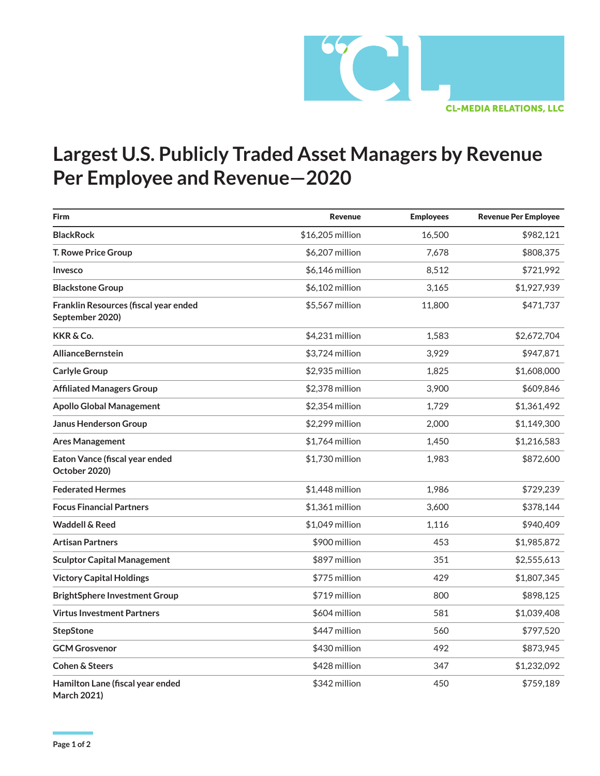

## **Largest U.S. Publicly Traded Asset Managers by Revenue Per Employee and Revenue—2020**

| <b>Firm</b>                                              | <b>Revenue</b>   | <b>Employees</b> | <b>Revenue Per Employee</b> |
|----------------------------------------------------------|------------------|------------------|-----------------------------|
| <b>BlackRock</b>                                         | \$16,205 million | 16,500           | \$982,121                   |
| T. Rowe Price Group                                      | \$6,207 million  | 7,678            | \$808,375                   |
| Invesco                                                  | \$6,146 million  | 8,512            | \$721,992                   |
| <b>Blackstone Group</b>                                  | \$6,102 million  | 3,165            | \$1,927,939                 |
| Franklin Resources (fiscal year ended<br>September 2020) | \$5,567 million  | 11,800           | \$471,737                   |
| KKR & Co.                                                | \$4,231 million  | 1,583            | \$2,672,704                 |
| <b>AllianceBernstein</b>                                 | \$3,724 million  | 3,929            | \$947,871                   |
| <b>Carlyle Group</b>                                     | \$2,935 million  | 1,825            | \$1,608,000                 |
| <b>Affiliated Managers Group</b>                         | \$2,378 million  | 3,900            | \$609,846                   |
| <b>Apollo Global Management</b>                          | \$2.354 million  | 1,729            | \$1,361,492                 |
| <b>Janus Henderson Group</b>                             | \$2,299 million  | 2,000            | \$1,149,300                 |
| <b>Ares Management</b>                                   | $$1,764$ million | 1,450            | \$1,216,583                 |
| Eaton Vance (fiscal year ended<br>October 2020)          | \$1,730 million  | 1,983            | \$872,600                   |
| <b>Federated Hermes</b>                                  | \$1,448 million  | 1,986            | \$729,239                   |
| <b>Focus Financial Partners</b>                          | \$1,361 million  | 3,600            | \$378,144                   |
| <b>Waddell &amp; Reed</b>                                | \$1.049 million  | 1,116            | \$940,409                   |
| <b>Artisan Partners</b>                                  | \$900 million    | 453              | \$1,985,872                 |
| <b>Sculptor Capital Management</b>                       | \$897 million    | 351              | \$2,555,613                 |
| <b>Victory Capital Holdings</b>                          | \$775 million    | 429              | \$1,807,345                 |
| <b>BrightSphere Investment Group</b>                     | \$719 million    | 800              | \$898,125                   |
| <b>Virtus Investment Partners</b>                        | \$604 million    | 581              | \$1,039,408                 |
| <b>StepStone</b>                                         | \$447 million    | 560              | \$797,520                   |
| <b>GCM Grosvenor</b>                                     | \$430 million    | 492              | \$873,945                   |
| <b>Cohen &amp; Steers</b>                                | \$428 million    | 347              | \$1,232,092                 |
| Hamilton Lane (fiscal year ended<br><b>March 2021)</b>   | \$342 million    | 450              | \$759,189                   |